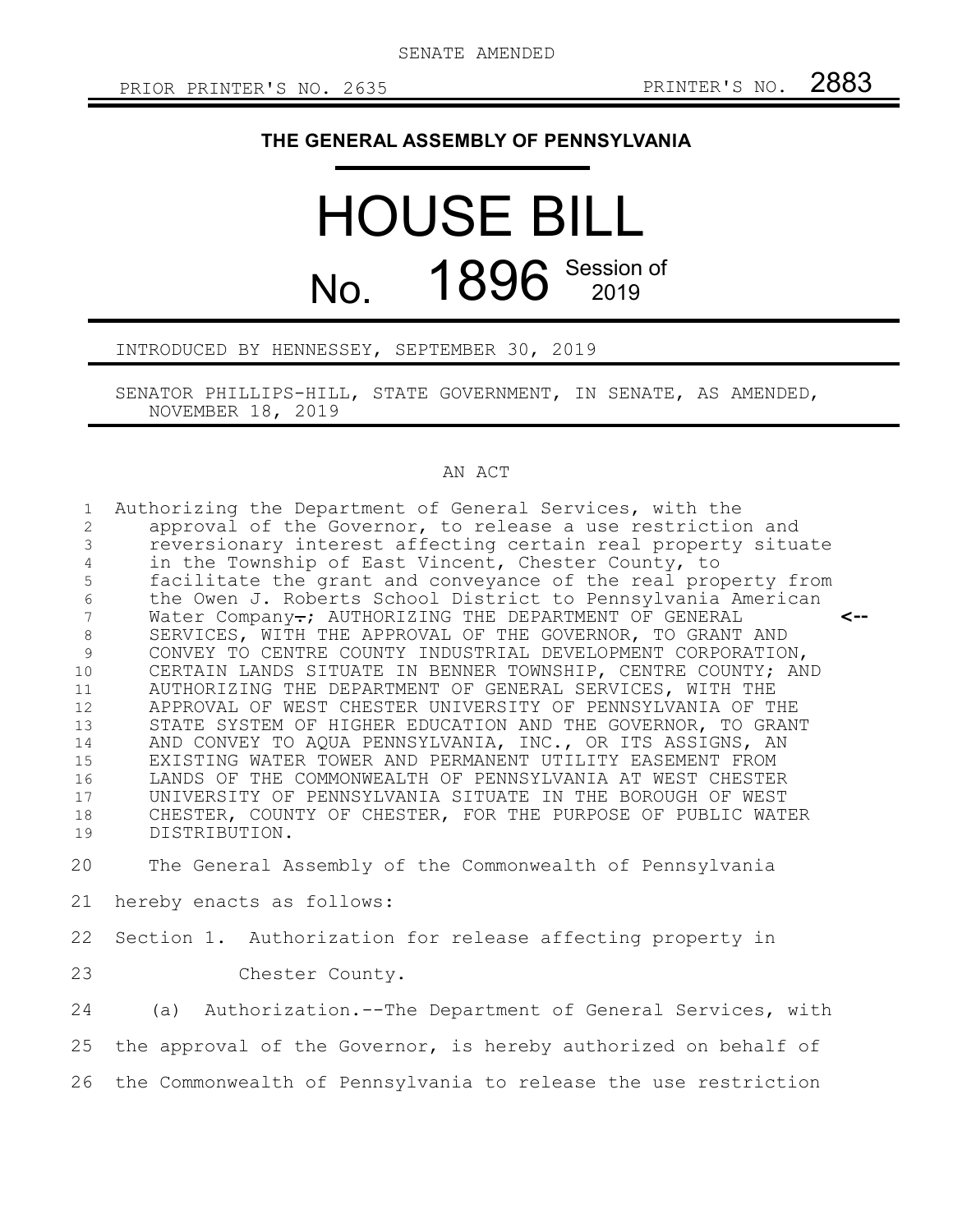## **THE GENERAL ASSEMBLY OF PENNSYLVANIA**

## HOUSE BILL No. 1896 Session of

INTRODUCED BY HENNESSEY, SEPTEMBER 30, 2019

SENATOR PHILLIPS-HILL, STATE GOVERNMENT, IN SENATE, AS AMENDED, NOVEMBER 18, 2019

## AN ACT

| $\mathbf{1}$<br>2<br>$\mathcal{E}$<br>4<br>$\mathsf S$<br>$\sqrt{6}$<br>$7\phantom{.0}$<br>$\,8\,$<br>$\mathcal{G}$<br>10<br>11<br>12<br>13<br>14<br>15<br>16<br>17<br>18<br>19 | Authorizing the Department of General Services, with the<br>approval of the Governor, to release a use restriction and<br>reversionary interest affecting certain real property situate<br>in the Township of East Vincent, Chester County, to<br>facilitate the grant and conveyance of the real property from<br>the Owen J. Roberts School District to Pennsylvania American<br>Water Company-; AUTHORIZING THE DEPARTMENT OF GENERAL<br><--<br>SERVICES, WITH THE APPROVAL OF THE GOVERNOR, TO GRANT AND<br>CONVEY TO CENTRE COUNTY INDUSTRIAL DEVELOPMENT CORPORATION,<br>CERTAIN LANDS SITUATE IN BENNER TOWNSHIP, CENTRE COUNTY; AND<br>AUTHORIZING THE DEPARTMENT OF GENERAL SERVICES, WITH THE<br>APPROVAL OF WEST CHESTER UNIVERSITY OF PENNSYLVANIA OF THE<br>STATE SYSTEM OF HIGHER EDUCATION AND THE GOVERNOR, TO GRANT<br>AND CONVEY TO AQUA PENNSYLVANIA, INC., OR ITS ASSIGNS, AN<br>EXISTING WATER TOWER AND PERMANENT UTILITY EASEMENT FROM<br>LANDS OF THE COMMONWEALTH OF PENNSYLVANIA AT WEST CHESTER<br>UNIVERSITY OF PENNSYLVANIA SITUATE IN THE BOROUGH OF WEST<br>CHESTER, COUNTY OF CHESTER, FOR THE PURPOSE OF PUBLIC WATER<br>DISTRIBUTION. |
|---------------------------------------------------------------------------------------------------------------------------------------------------------------------------------|-------------------------------------------------------------------------------------------------------------------------------------------------------------------------------------------------------------------------------------------------------------------------------------------------------------------------------------------------------------------------------------------------------------------------------------------------------------------------------------------------------------------------------------------------------------------------------------------------------------------------------------------------------------------------------------------------------------------------------------------------------------------------------------------------------------------------------------------------------------------------------------------------------------------------------------------------------------------------------------------------------------------------------------------------------------------------------------------------------------------------------------------------------------------------|
| 20                                                                                                                                                                              | The General Assembly of the Commonwealth of Pennsylvania                                                                                                                                                                                                                                                                                                                                                                                                                                                                                                                                                                                                                                                                                                                                                                                                                                                                                                                                                                                                                                                                                                                |
| 21                                                                                                                                                                              | hereby enacts as follows:                                                                                                                                                                                                                                                                                                                                                                                                                                                                                                                                                                                                                                                                                                                                                                                                                                                                                                                                                                                                                                                                                                                                               |
| 22                                                                                                                                                                              | Section 1. Authorization for release affecting property in                                                                                                                                                                                                                                                                                                                                                                                                                                                                                                                                                                                                                                                                                                                                                                                                                                                                                                                                                                                                                                                                                                              |
| 23                                                                                                                                                                              | Chester County.                                                                                                                                                                                                                                                                                                                                                                                                                                                                                                                                                                                                                                                                                                                                                                                                                                                                                                                                                                                                                                                                                                                                                         |
| 24                                                                                                                                                                              | (a) Authorization.--The Department of General Services, with                                                                                                                                                                                                                                                                                                                                                                                                                                                                                                                                                                                                                                                                                                                                                                                                                                                                                                                                                                                                                                                                                                            |
| 25                                                                                                                                                                              | the approval of the Governor, is hereby authorized on behalf of                                                                                                                                                                                                                                                                                                                                                                                                                                                                                                                                                                                                                                                                                                                                                                                                                                                                                                                                                                                                                                                                                                         |
| 26                                                                                                                                                                              | the Commonwealth of Pennsylvania to release the use restriction                                                                                                                                                                                                                                                                                                                                                                                                                                                                                                                                                                                                                                                                                                                                                                                                                                                                                                                                                                                                                                                                                                         |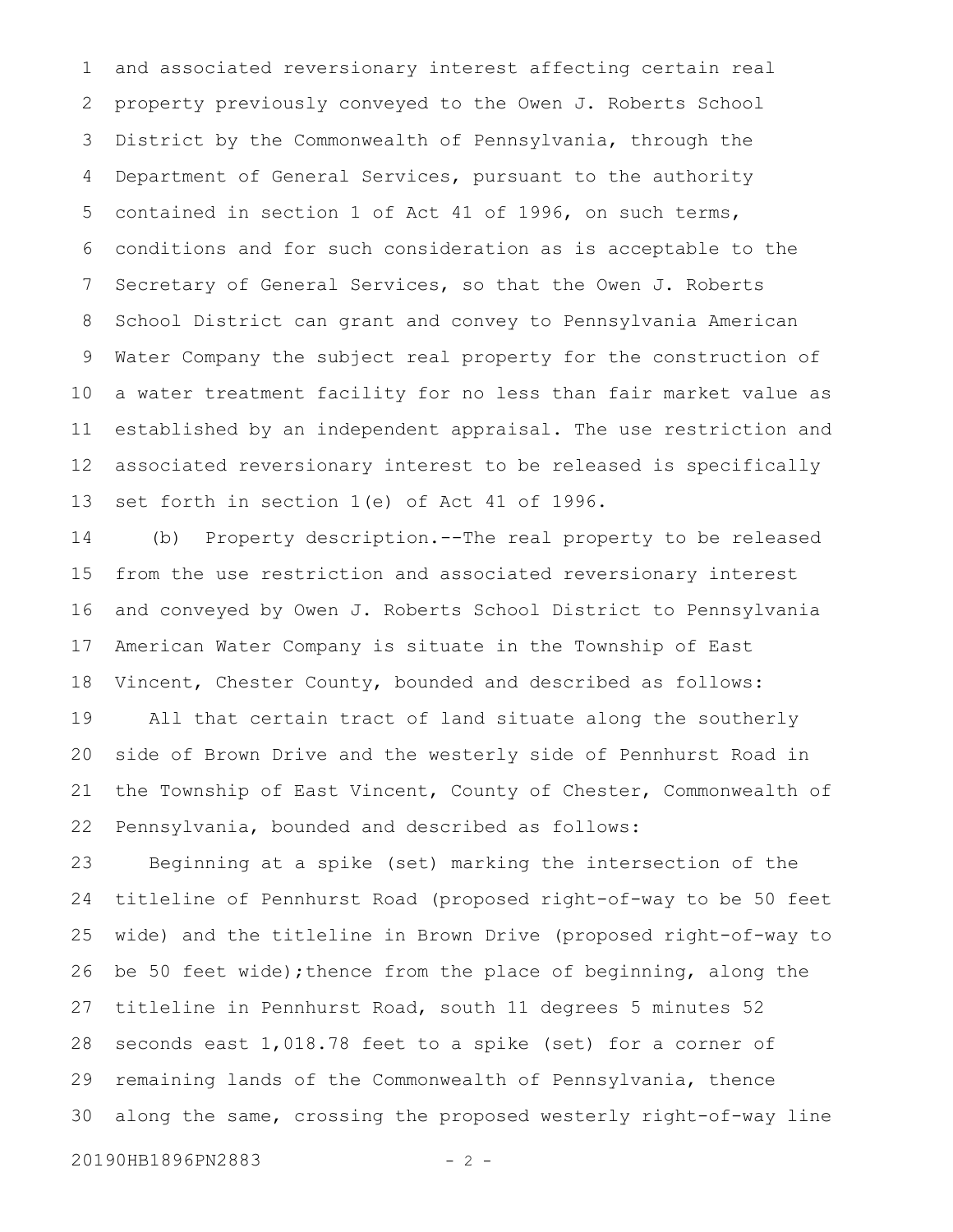and associated reversionary interest affecting certain real property previously conveyed to the Owen J. Roberts School District by the Commonwealth of Pennsylvania, through the Department of General Services, pursuant to the authority contained in section 1 of Act 41 of 1996, on such terms, conditions and for such consideration as is acceptable to the Secretary of General Services, so that the Owen J. Roberts School District can grant and convey to Pennsylvania American Water Company the subject real property for the construction of a water treatment facility for no less than fair market value as established by an independent appraisal. The use restriction and associated reversionary interest to be released is specifically set forth in section 1(e) of Act 41 of 1996. 1 2 3 4 5 6 7 8 9 10 11 12 13

(b) Property description.--The real property to be released from the use restriction and associated reversionary interest and conveyed by Owen J. Roberts School District to Pennsylvania American Water Company is situate in the Township of East Vincent, Chester County, bounded and described as follows: All that certain tract of land situate along the southerly side of Brown Drive and the westerly side of Pennhurst Road in the Township of East Vincent, County of Chester, Commonwealth of Pennsylvania, bounded and described as follows: 14 15 16 17 18 19 20 21 22

Beginning at a spike (set) marking the intersection of the titleline of Pennhurst Road (proposed right-of-way to be 50 feet wide) and the titleline in Brown Drive (proposed right-of-way to be 50 feet wide); thence from the place of beginning, along the titleline in Pennhurst Road, south 11 degrees 5 minutes 52 seconds east 1,018.78 feet to a spike (set) for a corner of remaining lands of the Commonwealth of Pennsylvania, thence along the same, crossing the proposed westerly right-of-way line 23 24 25 26 27 28 29 30

20190HB1896PN2883 - 2 -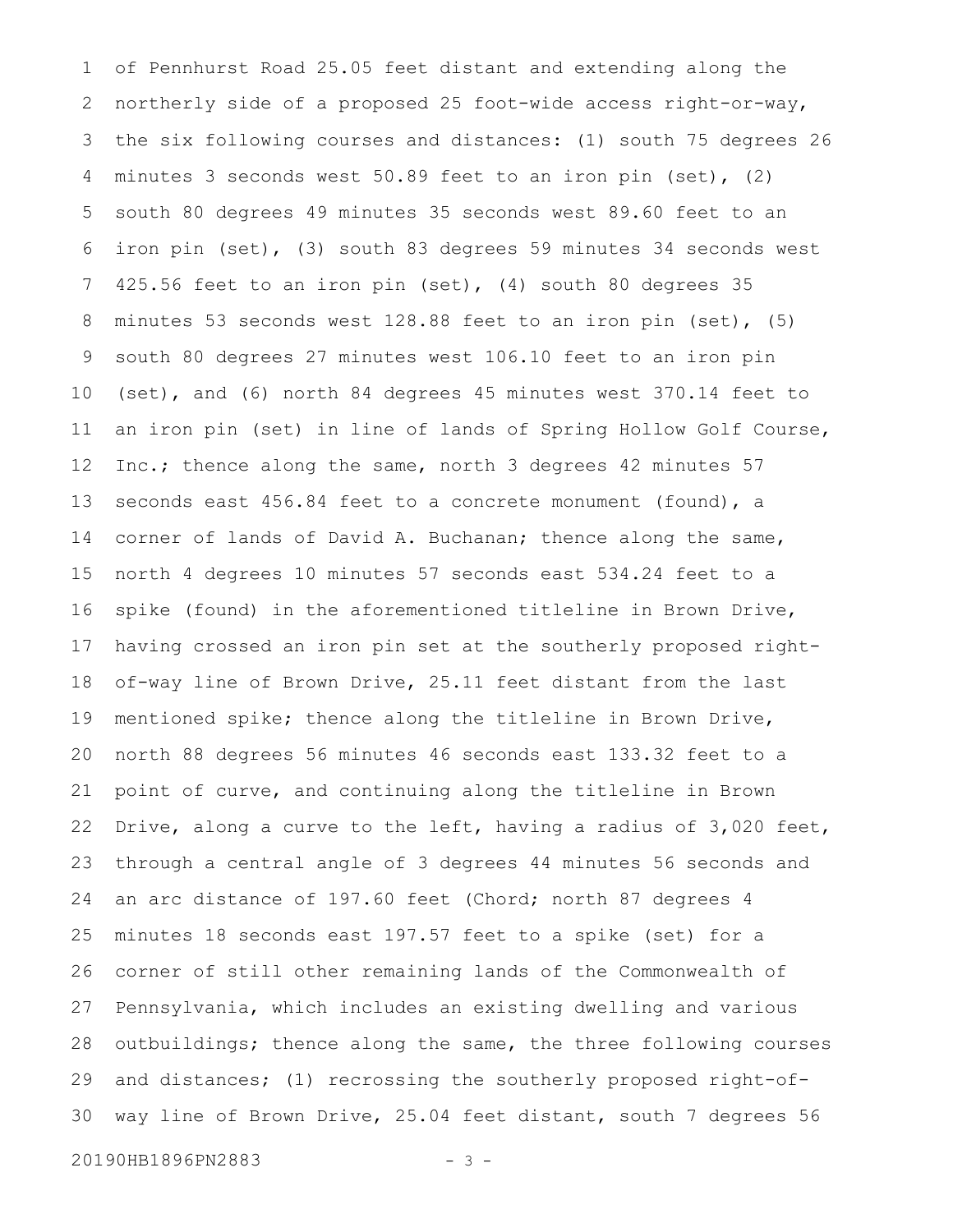of Pennhurst Road 25.05 feet distant and extending along the northerly side of a proposed 25 foot-wide access right-or-way, the six following courses and distances: (1) south 75 degrees 26 minutes 3 seconds west 50.89 feet to an iron pin (set), (2) south 80 degrees 49 minutes 35 seconds west 89.60 feet to an iron pin (set), (3) south 83 degrees 59 minutes 34 seconds west 425.56 feet to an iron pin (set), (4) south 80 degrees 35 minutes 53 seconds west 128.88 feet to an iron pin (set), (5) south 80 degrees 27 minutes west 106.10 feet to an iron pin (set), and (6) north 84 degrees 45 minutes west 370.14 feet to an iron pin (set) in line of lands of Spring Hollow Golf Course, Inc.; thence along the same, north 3 degrees 42 minutes 57 seconds east 456.84 feet to a concrete monument (found), a corner of lands of David A. Buchanan; thence along the same, north 4 degrees 10 minutes 57 seconds east 534.24 feet to a spike (found) in the aforementioned titleline in Brown Drive, having crossed an iron pin set at the southerly proposed rightof-way line of Brown Drive, 25.11 feet distant from the last mentioned spike; thence along the titleline in Brown Drive, north 88 degrees 56 minutes 46 seconds east 133.32 feet to a point of curve, and continuing along the titleline in Brown Drive, along a curve to the left, having a radius of 3,020 feet, through a central angle of 3 degrees 44 minutes 56 seconds and an arc distance of 197.60 feet (Chord; north 87 degrees 4 minutes 18 seconds east 197.57 feet to a spike (set) for a corner of still other remaining lands of the Commonwealth of Pennsylvania, which includes an existing dwelling and various outbuildings; thence along the same, the three following courses and distances; (1) recrossing the southerly proposed right-ofway line of Brown Drive, 25.04 feet distant, south 7 degrees 56 1 2 3 4 5 6 7 8 9 10 11 12 13 14 15 16 17 18 19 20 21 22 23 24 25 26 27 28 29 30

20190HB1896PN2883 - 3 -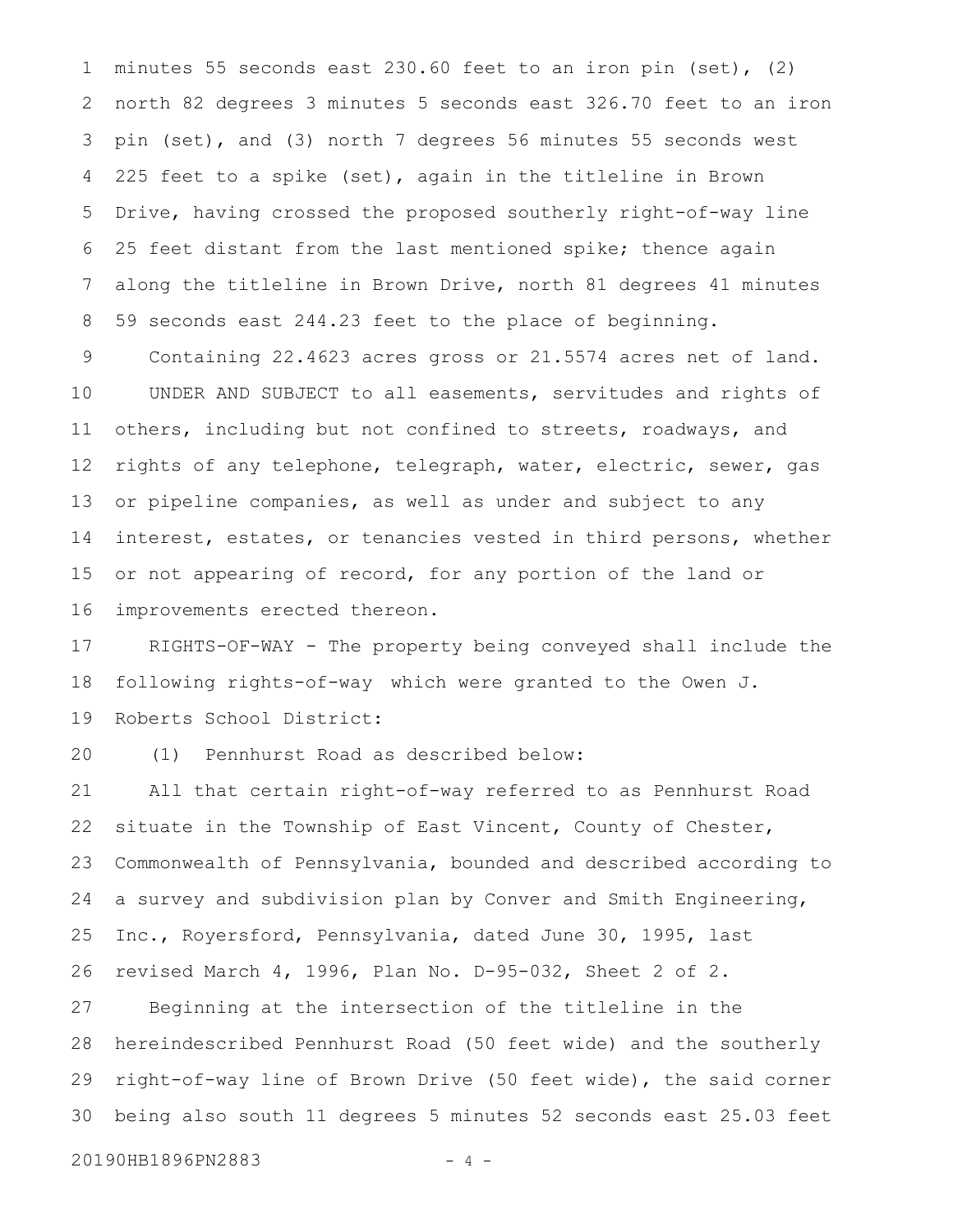minutes 55 seconds east 230.60 feet to an iron pin (set), (2) north 82 degrees 3 minutes 5 seconds east 326.70 feet to an iron pin (set), and (3) north 7 degrees 56 minutes 55 seconds west 225 feet to a spike (set), again in the titleline in Brown Drive, having crossed the proposed southerly right-of-way line 25 feet distant from the last mentioned spike; thence again along the titleline in Brown Drive, north 81 degrees 41 minutes 59 seconds east 244.23 feet to the place of beginning. 1 2 3 4 5 6 7 8

Containing 22.4623 acres gross or 21.5574 acres net of land. UNDER AND SUBJECT to all easements, servitudes and rights of others, including but not confined to streets, roadways, and rights of any telephone, telegraph, water, electric, sewer, gas or pipeline companies, as well as under and subject to any interest, estates, or tenancies vested in third persons, whether or not appearing of record, for any portion of the land or improvements erected thereon. 9 10 11 12 13 14 15 16

RIGHTS-OF-WAY - The property being conveyed shall include the following rights-of-way which were granted to the Owen J. Roberts School District: 17 18 19

(1) Pennhurst Road as described below: 20

All that certain right-of-way referred to as Pennhurst Road situate in the Township of East Vincent, County of Chester, Commonwealth of Pennsylvania, bounded and described according to a survey and subdivision plan by Conver and Smith Engineering, Inc., Royersford, Pennsylvania, dated June 30, 1995, last revised March 4, 1996, Plan No. D-95-032, Sheet 2 of 2. Beginning at the intersection of the titleline in the hereindescribed Pennhurst Road (50 feet wide) and the southerly right-of-way line of Brown Drive (50 feet wide), the said corner being also south 11 degrees 5 minutes 52 seconds east 25.03 feet 21 22 23 24 25 26 27 28 29 30

20190HB1896PN2883 - 4 -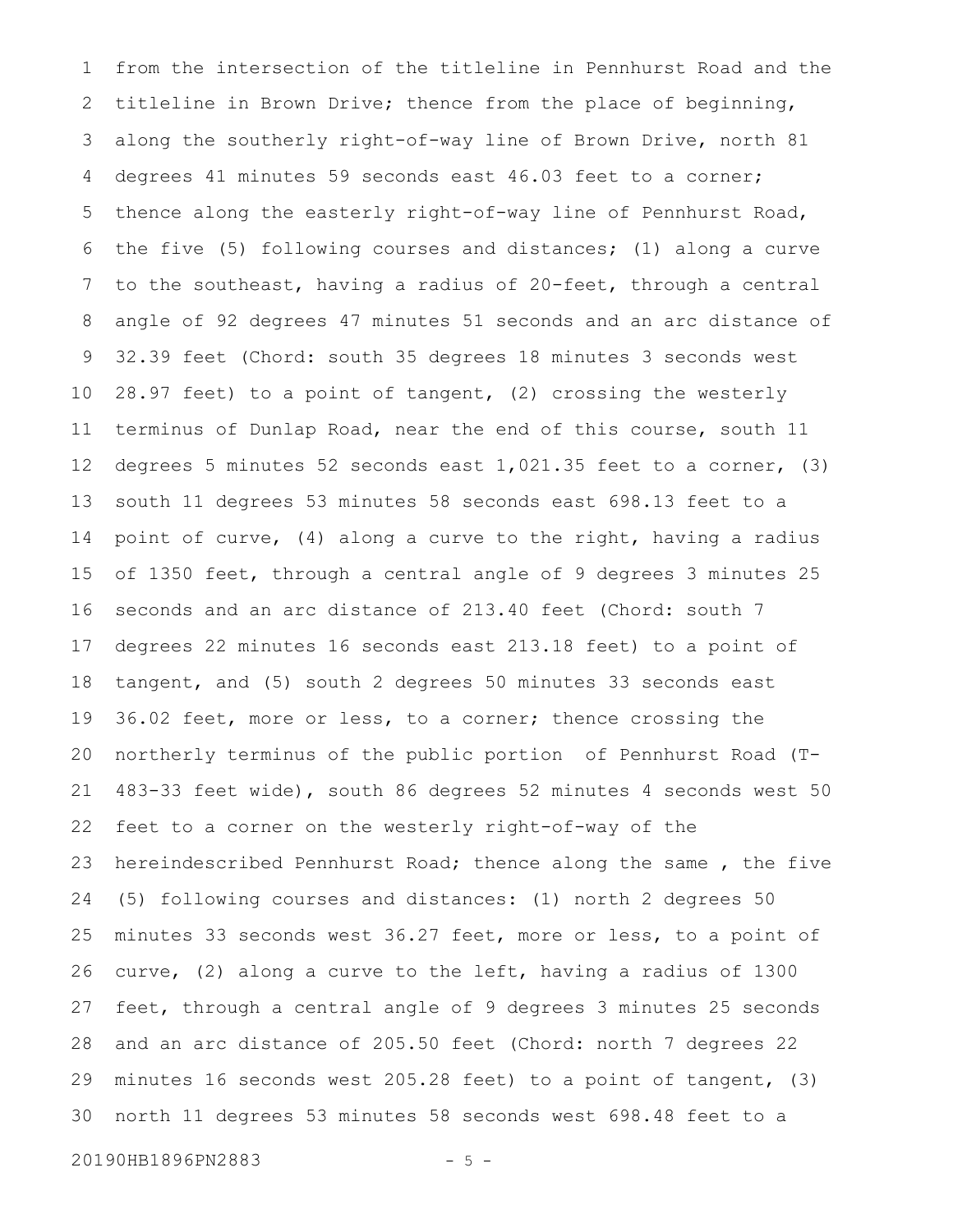from the intersection of the titleline in Pennhurst Road and the titleline in Brown Drive; thence from the place of beginning, along the southerly right-of-way line of Brown Drive, north 81 degrees 41 minutes 59 seconds east 46.03 feet to a corner; thence along the easterly right-of-way line of Pennhurst Road, the five (5) following courses and distances; (1) along a curve to the southeast, having a radius of 20-feet, through a central angle of 92 degrees 47 minutes 51 seconds and an arc distance of 32.39 feet (Chord: south 35 degrees 18 minutes 3 seconds west 28.97 feet) to a point of tangent, (2) crossing the westerly terminus of Dunlap Road, near the end of this course, south 11 degrees 5 minutes 52 seconds east 1,021.35 feet to a corner, (3) south 11 degrees 53 minutes 58 seconds east 698.13 feet to a point of curve, (4) along a curve to the right, having a radius of 1350 feet, through a central angle of 9 degrees 3 minutes 25 seconds and an arc distance of 213.40 feet (Chord: south 7 degrees 22 minutes 16 seconds east 213.18 feet) to a point of tangent, and (5) south 2 degrees 50 minutes 33 seconds east 36.02 feet, more or less, to a corner; thence crossing the northerly terminus of the public portion of Pennhurst Road (T-483-33 feet wide), south 86 degrees 52 minutes 4 seconds west 50 feet to a corner on the westerly right-of-way of the hereindescribed Pennhurst Road; thence along the same , the five (5) following courses and distances: (1) north 2 degrees 50 minutes 33 seconds west 36.27 feet, more or less, to a point of curve, (2) along a curve to the left, having a radius of 1300 feet, through a central angle of 9 degrees 3 minutes 25 seconds and an arc distance of 205.50 feet (Chord: north 7 degrees 22 minutes 16 seconds west 205.28 feet) to a point of tangent, (3) north 11 degrees 53 minutes 58 seconds west 698.48 feet to a 1 2 3 4 5 6 7 8 9 10 11 12 13 14 15 16 17 18 19 20 21 22 23 24 25 26 27 28 29 30

20190HB1896PN2883 - 5 -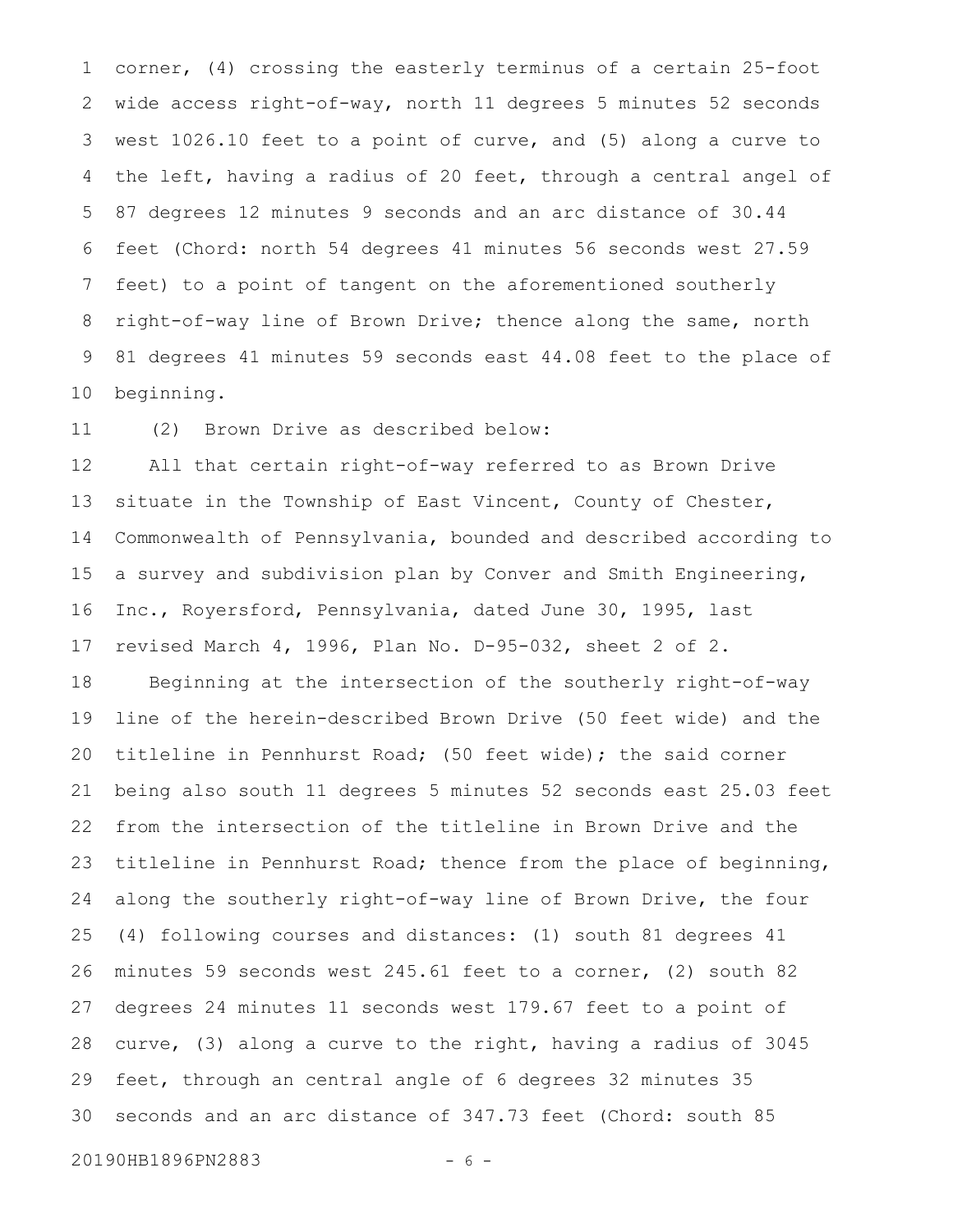corner, (4) crossing the easterly terminus of a certain 25-foot wide access right-of-way, north 11 degrees 5 minutes 52 seconds west 1026.10 feet to a point of curve, and (5) along a curve to the left, having a radius of 20 feet, through a central angel of 87 degrees 12 minutes 9 seconds and an arc distance of 30.44 feet (Chord: north 54 degrees 41 minutes 56 seconds west 27.59 feet) to a point of tangent on the aforementioned southerly right-of-way line of Brown Drive; thence along the same, north 81 degrees 41 minutes 59 seconds east 44.08 feet to the place of beginning. 1 2 3 4 5 6 7 8 9 10

(2) Brown Drive as described below: 11

All that certain right-of-way referred to as Brown Drive situate in the Township of East Vincent, County of Chester, Commonwealth of Pennsylvania, bounded and described according to a survey and subdivision plan by Conver and Smith Engineering, Inc., Royersford, Pennsylvania, dated June 30, 1995, last revised March 4, 1996, Plan No. D-95-032, sheet 2 of 2. Beginning at the intersection of the southerly right-of-way line of the herein-described Brown Drive (50 feet wide) and the titleline in Pennhurst Road; (50 feet wide); the said corner being also south 11 degrees 5 minutes 52 seconds east 25.03 feet from the intersection of the titleline in Brown Drive and the titleline in Pennhurst Road; thence from the place of beginning, along the southerly right-of-way line of Brown Drive, the four (4) following courses and distances: (1) south 81 degrees 41 minutes 59 seconds west 245.61 feet to a corner, (2) south 82 degrees 24 minutes 11 seconds west 179.67 feet to a point of curve, (3) along a curve to the right, having a radius of 3045 feet, through an central angle of 6 degrees 32 minutes 35 seconds and an arc distance of 347.73 feet (Chord: south 85 12 13 14 15 16 17 18 19 20 21 22 23 24 25 26 27 28 29 30

20190HB1896PN2883 - 6 -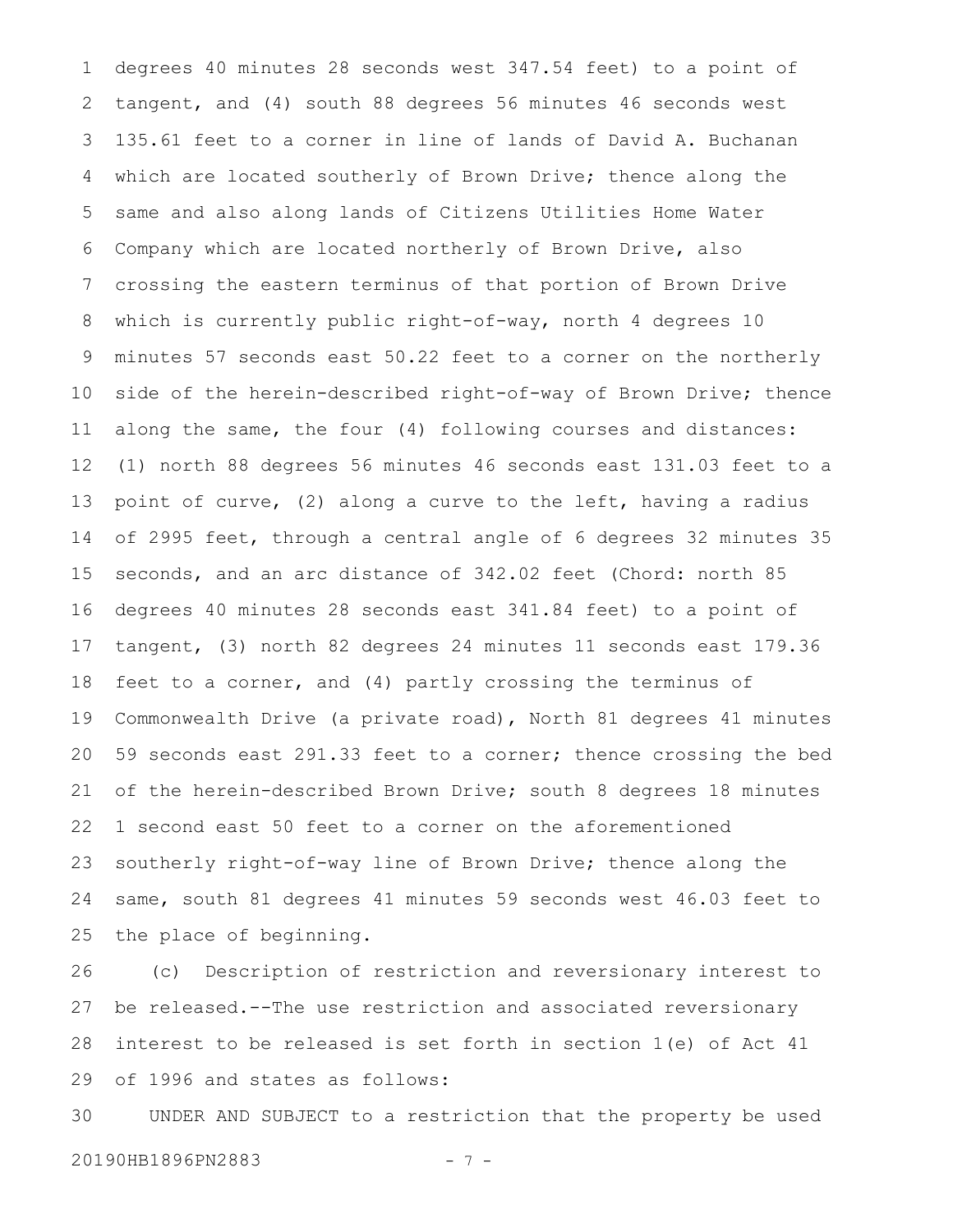degrees 40 minutes 28 seconds west 347.54 feet) to a point of tangent, and (4) south 88 degrees 56 minutes 46 seconds west 135.61 feet to a corner in line of lands of David A. Buchanan which are located southerly of Brown Drive; thence along the same and also along lands of Citizens Utilities Home Water Company which are located northerly of Brown Drive, also crossing the eastern terminus of that portion of Brown Drive which is currently public right-of-way, north 4 degrees 10 minutes 57 seconds east 50.22 feet to a corner on the northerly side of the herein-described right-of-way of Brown Drive; thence along the same, the four (4) following courses and distances: (1) north 88 degrees 56 minutes 46 seconds east 131.03 feet to a point of curve, (2) along a curve to the left, having a radius of 2995 feet, through a central angle of 6 degrees 32 minutes 35 seconds, and an arc distance of 342.02 feet (Chord: north 85 degrees 40 minutes 28 seconds east 341.84 feet) to a point of tangent, (3) north 82 degrees 24 minutes 11 seconds east 179.36 feet to a corner, and (4) partly crossing the terminus of Commonwealth Drive (a private road), North 81 degrees 41 minutes 59 seconds east 291.33 feet to a corner; thence crossing the bed of the herein-described Brown Drive; south 8 degrees 18 minutes 1 second east 50 feet to a corner on the aforementioned southerly right-of-way line of Brown Drive; thence along the same, south 81 degrees 41 minutes 59 seconds west 46.03 feet to the place of beginning. 1 2 3 4 5 6 7 8 9 10 11 12 13 14 15 16 17 18 19 20 21 22 23 24 25

(c) Description of restriction and reversionary interest to be released.--The use restriction and associated reversionary interest to be released is set forth in section 1(e) of Act 41 of 1996 and states as follows: 26 27 28 29

UNDER AND SUBJECT to a restriction that the property be used 20190HB1896PN2883 - 7 -30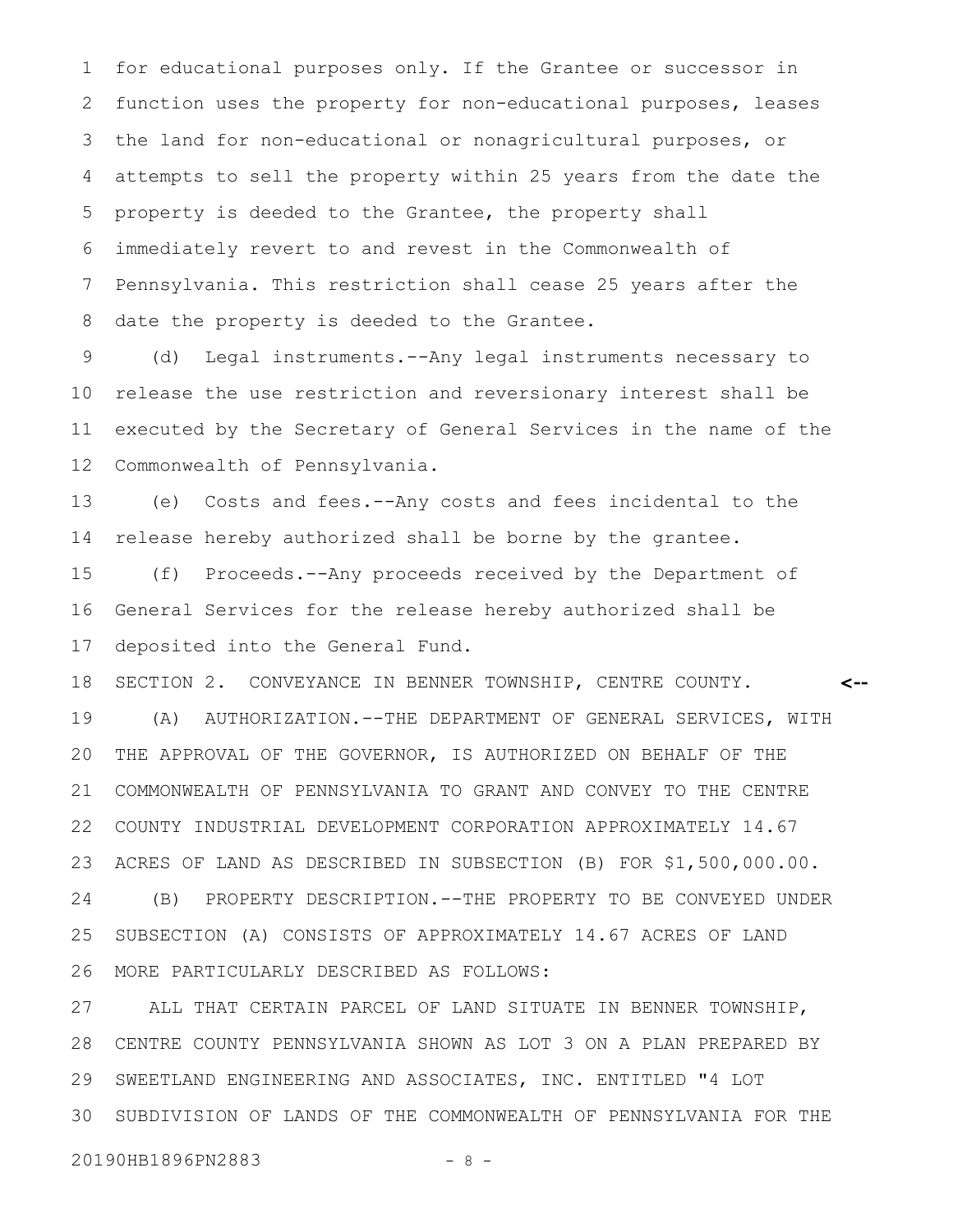for educational purposes only. If the Grantee or successor in function uses the property for non-educational purposes, leases the land for non-educational or nonagricultural purposes, or attempts to sell the property within 25 years from the date the property is deeded to the Grantee, the property shall immediately revert to and revest in the Commonwealth of Pennsylvania. This restriction shall cease 25 years after the date the property is deeded to the Grantee. 1 2 3 4 5 6 7 8

(d) Legal instruments.--Any legal instruments necessary to release the use restriction and reversionary interest shall be executed by the Secretary of General Services in the name of the Commonwealth of Pennsylvania. 9 10 11 12

(e) Costs and fees.--Any costs and fees incidental to the release hereby authorized shall be borne by the grantee. 13 14

(f) Proceeds.--Any proceeds received by the Department of General Services for the release hereby authorized shall be deposited into the General Fund. 15 16 17

SECTION 2. CONVEYANCE IN BENNER TOWNSHIP, CENTRE COUNTY. (A) AUTHORIZATION.--THE DEPARTMENT OF GENERAL SERVICES, WITH THE APPROVAL OF THE GOVERNOR, IS AUTHORIZED ON BEHALF OF THE COMMONWEALTH OF PENNSYLVANIA TO GRANT AND CONVEY TO THE CENTRE COUNTY INDUSTRIAL DEVELOPMENT CORPORATION APPROXIMATELY 14.67 ACRES OF LAND AS DESCRIBED IN SUBSECTION (B) FOR \$1,500,000.00. (B) PROPERTY DESCRIPTION.--THE PROPERTY TO BE CONVEYED UNDER SUBSECTION (A) CONSISTS OF APPROXIMATELY 14.67 ACRES OF LAND MORE PARTICULARLY DESCRIBED AS FOLLOWS: **<--** 18 19 20 21 22 23 24 25 26

ALL THAT CERTAIN PARCEL OF LAND SITUATE IN BENNER TOWNSHIP, CENTRE COUNTY PENNSYLVANIA SHOWN AS LOT 3 ON A PLAN PREPARED BY SWEETLAND ENGINEERING AND ASSOCIATES, INC. ENTITLED "4 LOT SUBDIVISION OF LANDS OF THE COMMONWEALTH OF PENNSYLVANIA FOR THE 27 28 29 30

20190HB1896PN2883 - 8 -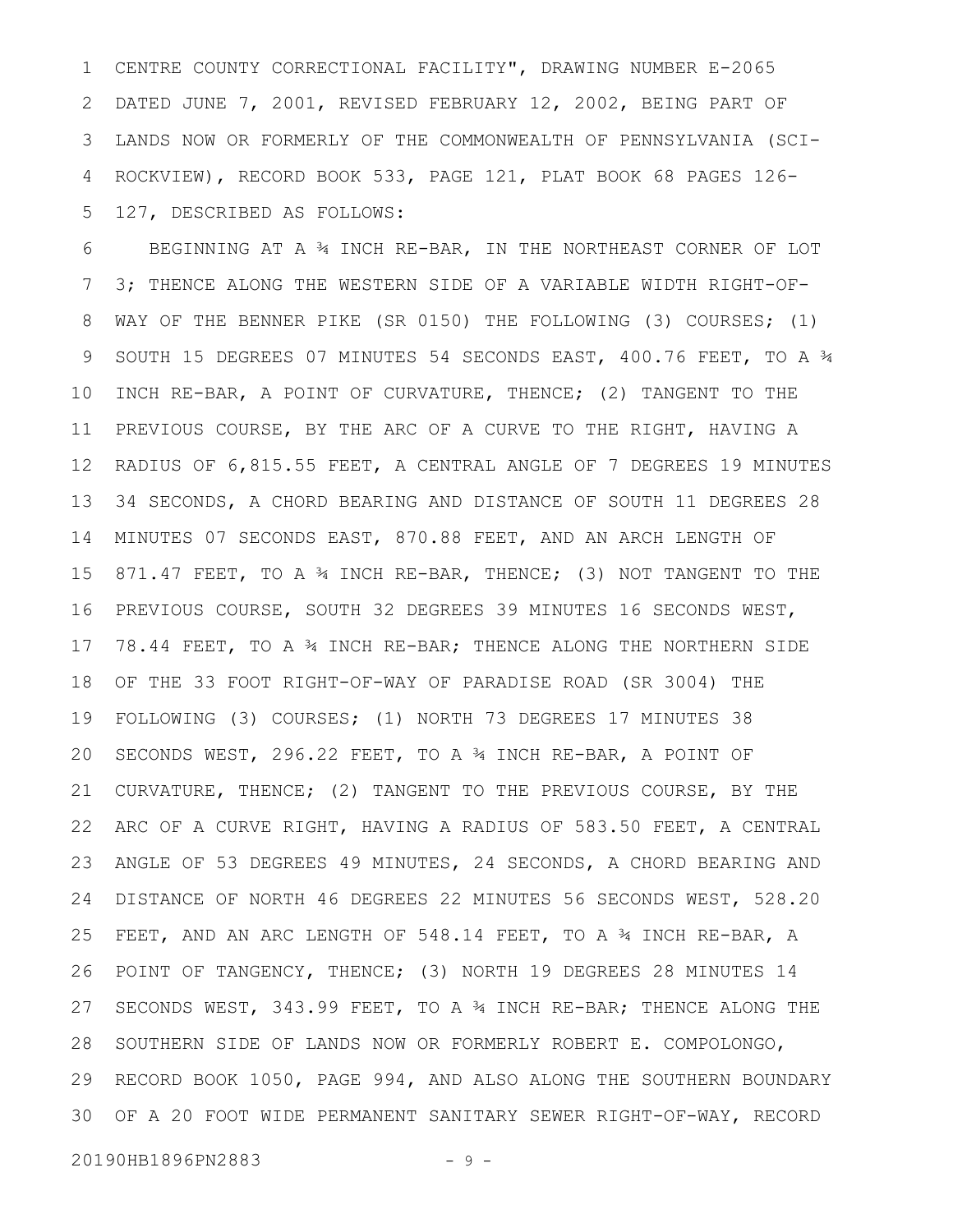CENTRE COUNTY CORRECTIONAL FACILITY", DRAWING NUMBER E-2065 DATED JUNE 7, 2001, REVISED FEBRUARY 12, 2002, BEING PART OF LANDS NOW OR FORMERLY OF THE COMMONWEALTH OF PENNSYLVANIA (SCI-ROCKVIEW), RECORD BOOK 533, PAGE 121, PLAT BOOK 68 PAGES 126- 127, DESCRIBED AS FOLLOWS: 1 2 3 4 5

BEGINNING AT A ¾ INCH RE-BAR, IN THE NORTHEAST CORNER OF LOT 3; THENCE ALONG THE WESTERN SIDE OF A VARIABLE WIDTH RIGHT-OF-WAY OF THE BENNER PIKE (SR 0150) THE FOLLOWING (3) COURSES; (1) SOUTH 15 DEGREES 07 MINUTES 54 SECONDS EAST, 400.76 FEET, TO A ¾ INCH RE-BAR, A POINT OF CURVATURE, THENCE; (2) TANGENT TO THE PREVIOUS COURSE, BY THE ARC OF A CURVE TO THE RIGHT, HAVING A RADIUS OF 6,815.55 FEET, A CENTRAL ANGLE OF 7 DEGREES 19 MINUTES 34 SECONDS, A CHORD BEARING AND DISTANCE OF SOUTH 11 DEGREES 28 MINUTES 07 SECONDS EAST, 870.88 FEET, AND AN ARCH LENGTH OF 871.47 FEET, TO A 34 INCH RE-BAR, THENCE; (3) NOT TANGENT TO THE PREVIOUS COURSE, SOUTH 32 DEGREES 39 MINUTES 16 SECONDS WEST, 78.44 FEET, TO A ¾ INCH RE-BAR; THENCE ALONG THE NORTHERN SIDE OF THE 33 FOOT RIGHT-OF-WAY OF PARADISE ROAD (SR 3004) THE FOLLOWING (3) COURSES; (1) NORTH 73 DEGREES 17 MINUTES 38 SECONDS WEST, 296.22 FEET, TO A ¾ INCH RE-BAR, A POINT OF CURVATURE, THENCE; (2) TANGENT TO THE PREVIOUS COURSE, BY THE ARC OF A CURVE RIGHT, HAVING A RADIUS OF 583.50 FEET, A CENTRAL ANGLE OF 53 DEGREES 49 MINUTES, 24 SECONDS, A CHORD BEARING AND DISTANCE OF NORTH 46 DEGREES 22 MINUTES 56 SECONDS WEST, 528.20 FEET, AND AN ARC LENGTH OF 548.14 FEET, TO A 34 INCH RE-BAR, A POINT OF TANGENCY, THENCE; (3) NORTH 19 DEGREES 28 MINUTES 14 SECONDS WEST, 343.99 FEET, TO A ¾ INCH RE-BAR; THENCE ALONG THE SOUTHERN SIDE OF LANDS NOW OR FORMERLY ROBERT E. COMPOLONGO, RECORD BOOK 1050, PAGE 994, AND ALSO ALONG THE SOUTHERN BOUNDARY OF A 20 FOOT WIDE PERMANENT SANITARY SEWER RIGHT-OF-WAY, RECORD 306 7 8 9 10 11 12 13 14 15 16 17 18 19 20 21 22 23 24 25 26 27 28 29

20190HB1896PN2883 - 9 -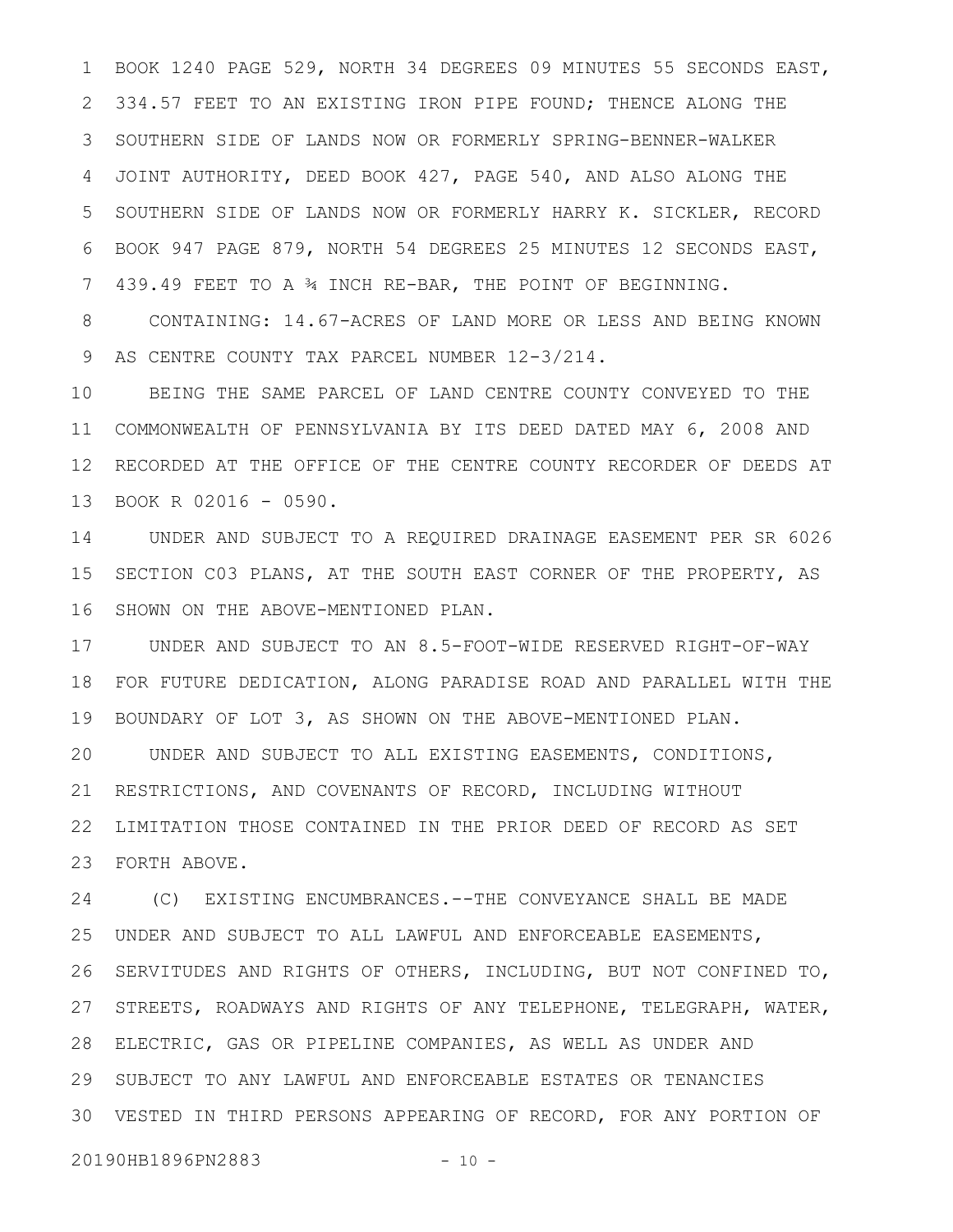BOOK 1240 PAGE 529, NORTH 34 DEGREES 09 MINUTES 55 SECONDS EAST, 2 334.57 FEET TO AN EXISTING IRON PIPE FOUND; THENCE ALONG THE SOUTHERN SIDE OF LANDS NOW OR FORMERLY SPRING-BENNER-WALKER 3 JOINT AUTHORITY, DEED BOOK 427, PAGE 540, AND ALSO ALONG THE SOUTHERN SIDE OF LANDS NOW OR FORMERLY HARRY K. SICKLER, RECORD BOOK 947 PAGE 879, NORTH 54 DEGREES 25 MINUTES 12 SECONDS EAST, 439.49 FEET TO A ¾ INCH RE-BAR, THE POINT OF BEGINNING. 1 4 5 6 7

CONTAINING: 14.67-ACRES OF LAND MORE OR LESS AND BEING KNOWN AS CENTRE COUNTY TAX PARCEL NUMBER 12-3/214. 8 9

BEING THE SAME PARCEL OF LAND CENTRE COUNTY CONVEYED TO THE COMMONWEALTH OF PENNSYLVANIA BY ITS DEED DATED MAY 6, 2008 AND 12 RECORDED AT THE OFFICE OF THE CENTRE COUNTY RECORDER OF DEEDS AT 13 BOOK R 02016 - 0590. 10 11

UNDER AND SUBJECT TO A REQUIRED DRAINAGE EASEMENT PER SR 6026 15 SECTION C03 PLANS, AT THE SOUTH EAST CORNER OF THE PROPERTY, AS SHOWN ON THE ABOVE-MENTIONED PLAN. 14 16

UNDER AND SUBJECT TO AN 8.5-FOOT-WIDE RESERVED RIGHT-OF-WAY 17 FOR FUTURE DEDICATION, ALONG PARADISE ROAD AND PARALLEL WITH THE BOUNDARY OF LOT 3, AS SHOWN ON THE ABOVE-MENTIONED PLAN. UNDER AND SUBJECT TO ALL EXISTING EASEMENTS, CONDITIONS, RESTRICTIONS, AND COVENANTS OF RECORD, INCLUDING WITHOUT LIMITATION THOSE CONTAINED IN THE PRIOR DEED OF RECORD AS SET FORTH ABOVE. 23 18 19 20 21 22

(C) EXISTING ENCUMBRANCES.--THE CONVEYANCE SHALL BE MADE UNDER AND SUBJECT TO ALL LAWFUL AND ENFORCEABLE EASEMENTS, SERVITUDES AND RIGHTS OF OTHERS, INCLUDING, BUT NOT CONFINED TO, STREETS, ROADWAYS AND RIGHTS OF ANY TELEPHONE, TELEGRAPH, WATER, ELECTRIC, GAS OR PIPELINE COMPANIES, AS WELL AS UNDER AND 28 29 SUBJECT TO ANY LAWFUL AND ENFORCEABLE ESTATES OR TENANCIES VESTED IN THIRD PERSONS APPEARING OF RECORD, FOR ANY PORTION OF 3024 25 26 27

20190HB1896PN2883 - 10 -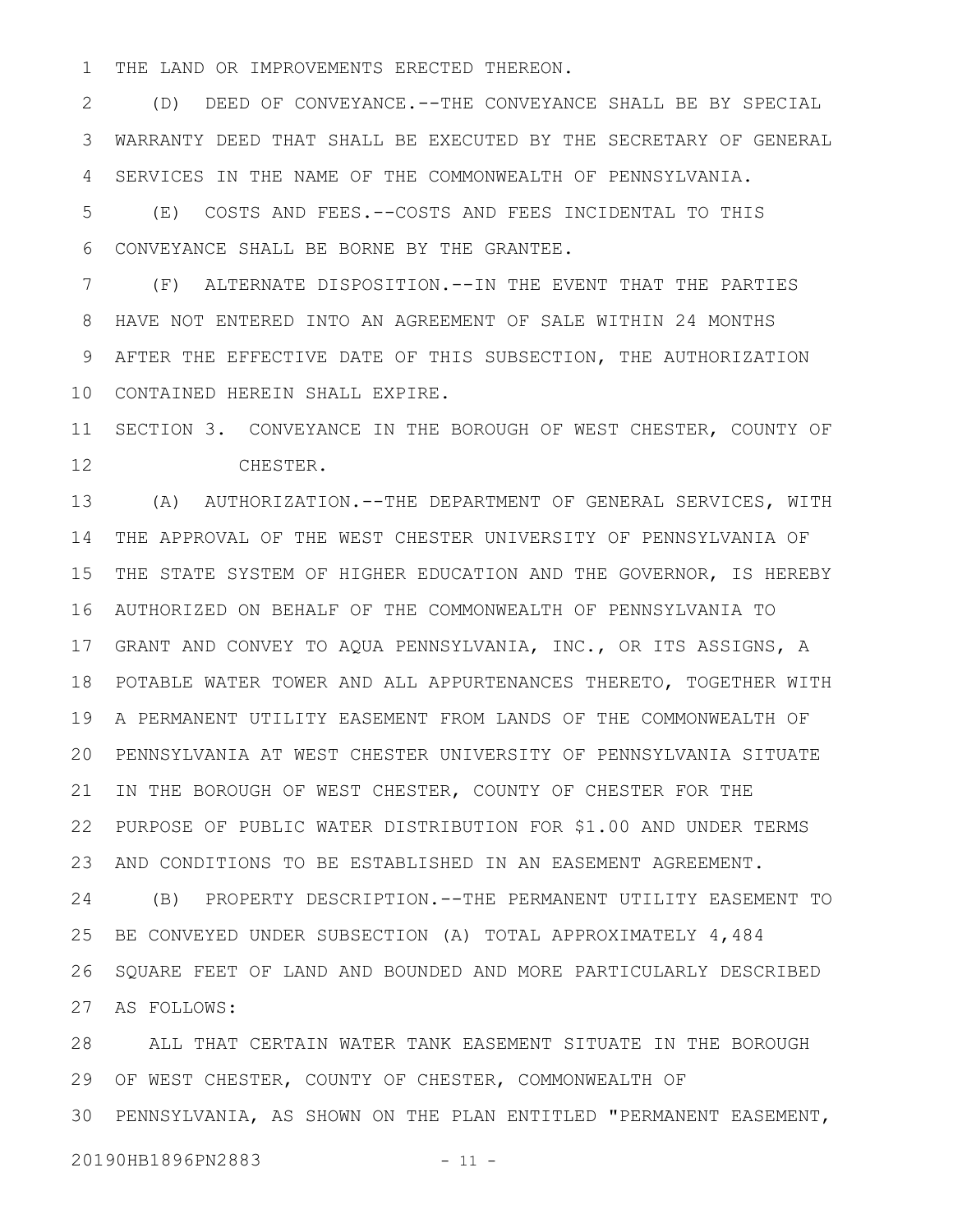THE LAND OR IMPROVEMENTS ERECTED THEREON. 1

(D) DEED OF CONVEYANCE.--THE CONVEYANCE SHALL BE BY SPECIAL WARRANTY DEED THAT SHALL BE EXECUTED BY THE SECRETARY OF GENERAL SERVICES IN THE NAME OF THE COMMONWEALTH OF PENNSYLVANIA. 2 3 4

(E) COSTS AND FEES.--COSTS AND FEES INCIDENTAL TO THIS CONVEYANCE SHALL BE BORNE BY THE GRANTEE. 5 6

(F) ALTERNATE DISPOSITION.--IN THE EVENT THAT THE PARTIES HAVE NOT ENTERED INTO AN AGREEMENT OF SALE WITHIN 24 MONTHS AFTER THE EFFECTIVE DATE OF THIS SUBSECTION, THE AUTHORIZATION CONTAINED HEREIN SHALL EXPIRE. 10 7 8 9

11 SECTION 3. CONVEYANCE IN THE BOROUGH OF WEST CHESTER, COUNTY OF CHESTER. 12

(A) AUTHORIZATION.--THE DEPARTMENT OF GENERAL SERVICES, WITH 14 THE APPROVAL OF THE WEST CHESTER UNIVERSITY OF PENNSYLVANIA OF THE STATE SYSTEM OF HIGHER EDUCATION AND THE GOVERNOR, IS HEREBY AUTHORIZED ON BEHALF OF THE COMMONWEALTH OF PENNSYLVANIA TO 16 GRANT AND CONVEY TO AQUA PENNSYLVANIA, INC., OR ITS ASSIGNS, A 17 POTABLE WATER TOWER AND ALL APPURTENANCES THERETO, TOGETHER WITH 18 19 A PERMANENT UTILITY EASEMENT FROM LANDS OF THE COMMONWEALTH OF PENNSYLVANIA AT WEST CHESTER UNIVERSITY OF PENNSYLVANIA SITUATE 20 21 IN THE BOROUGH OF WEST CHESTER, COUNTY OF CHESTER FOR THE PURPOSE OF PUBLIC WATER DISTRIBUTION FOR \$1.00 AND UNDER TERMS 22 AND CONDITIONS TO BE ESTABLISHED IN AN EASEMENT AGREEMENT. (B) PROPERTY DESCRIPTION.--THE PERMANENT UTILITY EASEMENT TO BE CONVEYED UNDER SUBSECTION (A) TOTAL APPROXIMATELY 4,484 SQUARE FEET OF LAND AND BOUNDED AND MORE PARTICULARLY DESCRIBED 13 15 23 24 25 26

AS FOLLOWS: 27

ALL THAT CERTAIN WATER TANK EASEMENT SITUATE IN THE BOROUGH 28 29 OF WEST CHESTER, COUNTY OF CHESTER, COMMONWEALTH OF PENNSYLVANIA, AS SHOWN ON THE PLAN ENTITLED "PERMANENT EASEMENT, 30

20190HB1896PN2883 - 11 -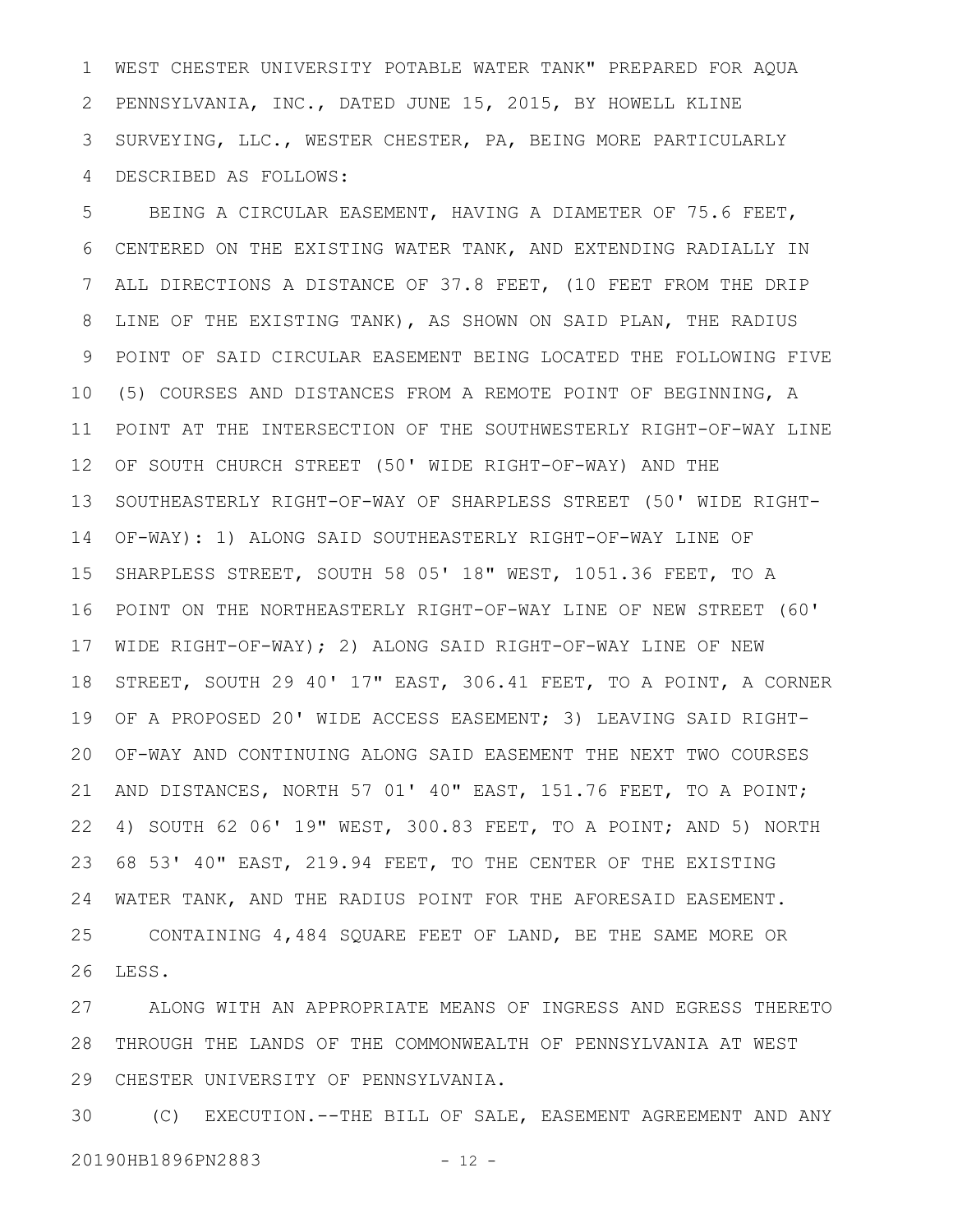WEST CHESTER UNIVERSITY POTABLE WATER TANK" PREPARED FOR AQUA PENNSYLVANIA, INC., DATED JUNE 15, 2015, BY HOWELL KLINE SURVEYING, LLC., WESTER CHESTER, PA, BEING MORE PARTICULARLY DESCRIBED AS FOLLOWS: 1 2 3 4

BEING A CIRCULAR EASEMENT, HAVING A DIAMETER OF 75.6 FEET, CENTERED ON THE EXISTING WATER TANK, AND EXTENDING RADIALLY IN ALL DIRECTIONS A DISTANCE OF 37.8 FEET, (10 FEET FROM THE DRIP LINE OF THE EXISTING TANK), AS SHOWN ON SAID PLAN, THE RADIUS POINT OF SAID CIRCULAR EASEMENT BEING LOCATED THE FOLLOWING FIVE (5) COURSES AND DISTANCES FROM A REMOTE POINT OF BEGINNING, A POINT AT THE INTERSECTION OF THE SOUTHWESTERLY RIGHT-OF-WAY LINE OF SOUTH CHURCH STREET (50' WIDE RIGHT-OF-WAY) AND THE SOUTHEASTERLY RIGHT-OF-WAY OF SHARPLESS STREET (50' WIDE RIGHT-OF-WAY): 1) ALONG SAID SOUTHEASTERLY RIGHT-OF-WAY LINE OF SHARPLESS STREET, SOUTH 58 05' 18" WEST, 1051.36 FEET, TO A POINT ON THE NORTHEASTERLY RIGHT-OF-WAY LINE OF NEW STREET (60' WIDE RIGHT-OF-WAY); 2) ALONG SAID RIGHT-OF-WAY LINE OF NEW STREET, SOUTH 29 40' 17" EAST, 306.41 FEET, TO A POINT, A CORNER OF A PROPOSED 20' WIDE ACCESS EASEMENT; 3) LEAVING SAID RIGHT-OF-WAY AND CONTINUING ALONG SAID EASEMENT THE NEXT TWO COURSES AND DISTANCES, NORTH 57 01' 40" EAST, 151.76 FEET, TO A POINT; 4) SOUTH 62 06' 19" WEST, 300.83 FEET, TO A POINT; AND 5) NORTH 68 53' 40" EAST, 219.94 FEET, TO THE CENTER OF THE EXISTING WATER TANK, AND THE RADIUS POINT FOR THE AFORESAID EASEMENT. CONTAINING 4,484 SQUARE FEET OF LAND, BE THE SAME MORE OR LESS. 5 6 7 8 9 10 11 12 13 14 15 16 17 18 19 20 21 22 23 24 25 26

ALONG WITH AN APPROPRIATE MEANS OF INGRESS AND EGRESS THERETO THROUGH THE LANDS OF THE COMMONWEALTH OF PENNSYLVANIA AT WEST CHESTER UNIVERSITY OF PENNSYLVANIA. 27 28 29

(C) EXECUTION.--THE BILL OF SALE, EASEMENT AGREEMENT AND ANY 20190HB1896PN2883 - 12 -30